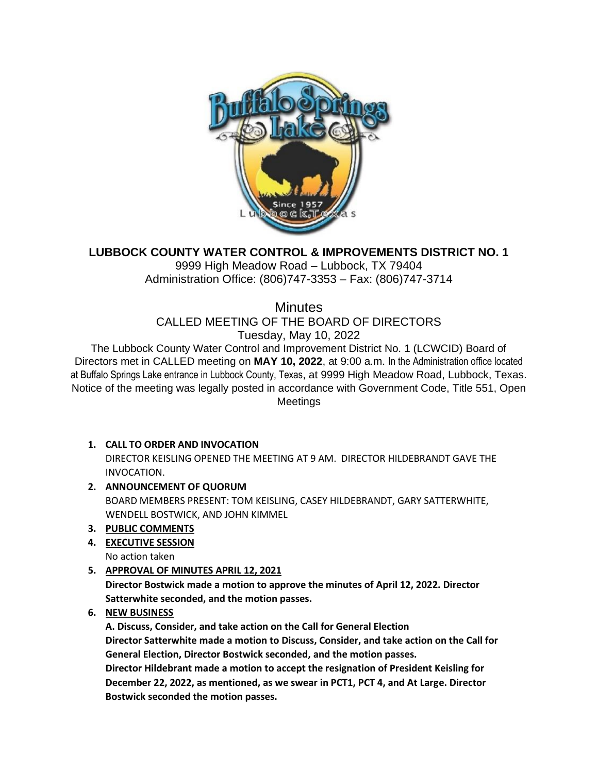

# **LUBBOCK COUNTY WATER CONTROL & IMPROVEMENTS DISTRICT NO. 1**

9999 High Meadow Road – Lubbock, TX 79404 Administration Office: (806)747-3353 – Fax: (806)747-3714

**Minutes** 

CALLED MEETING OF THE BOARD OF DIRECTORS

Tuesday, May 10, 2022

The Lubbock County Water Control and Improvement District No. 1 (LCWCID) Board of Directors met in CALLED meeting on **MAY 10, 2022**, at 9:00 a.m. In the Administration office located at Buffalo Springs Lake entrance in Lubbock County, Texas, at 9999 High Meadow Road, Lubbock, Texas. Notice of the meeting was legally posted in accordance with Government Code, Title 551, Open Meetings

## **1. CALL TO ORDER AND INVOCATION**

DIRECTOR KEISLING OPENED THE MEETING AT 9 AM. DIRECTOR HILDEBRANDT GAVE THE INVOCATION.

**2. ANNOUNCEMENT OF QUORUM** BOARD MEMBERS PRESENT: TOM KEISLING, CASEY HILDEBRANDT, GARY SATTERWHITE,

WENDELL BOSTWICK, AND JOHN KIMMEL

- **3. PUBLIC COMMENTS**
- **4. EXECUTIVE SESSION**
	- No action taken
- **5. APPROVAL OF MINUTES APRIL 12, 2021**

**Director Bostwick made a motion to approve the minutes of April 12, 2022. Director Satterwhite seconded, and the motion passes.**

**6. NEW BUSINESS** 

**A. Discuss, Consider, and take action on the Call for General Election Director Satterwhite made a motion to Discuss, Consider, and take action on the Call for General Election, Director Bostwick seconded, and the motion passes. Director Hildebrant made a motion to accept the resignation of President Keisling for** 

**December 22, 2022, as mentioned, as we swear in PCT1, PCT 4, and At Large. Director Bostwick seconded the motion passes.**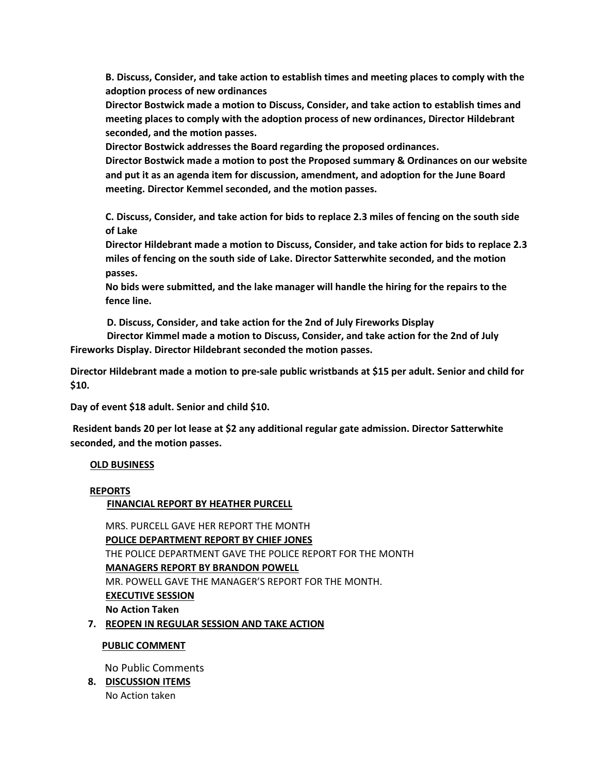**B. Discuss, Consider, and take action to establish times and meeting places to comply with the adoption process of new ordinances**

**Director Bostwick made a motion to Discuss, Consider, and take action to establish times and meeting places to comply with the adoption process of new ordinances, Director Hildebrant seconded, and the motion passes.** 

**Director Bostwick addresses the Board regarding the proposed ordinances.**

**Director Bostwick made a motion to post the Proposed summary & Ordinances on our website and put it as an agenda item for discussion, amendment, and adoption for the June Board meeting. Director Kemmel seconded, and the motion passes.**

**C. Discuss, Consider, and take action for bids to replace 2.3 miles of fencing on the south side of Lake**

**Director Hildebrant made a motion to Discuss, Consider, and take action for bids to replace 2.3 miles of fencing on the south side of Lake. Director Satterwhite seconded, and the motion passes.** 

**No bids were submitted, and the lake manager will handle the hiring for the repairs to the fence line.** 

**D. Discuss, Consider, and take action for the 2nd of July Fireworks Display**

 **Director Kimmel made a motion to Discuss, Consider, and take action for the 2nd of July Fireworks Display. Director Hildebrant seconded the motion passes.**

**Director Hildebrant made a motion to pre-sale public wristbands at \$15 per adult. Senior and child for \$10.** 

**Day of event \$18 adult. Senior and child \$10.**

**Resident bands 20 per lot lease at \$2 any additional regular gate admission. Director Satterwhite seconded, and the motion passes.**

#### **OLD BUSINESS**

#### **REPORTS**

 **FINANCIAL REPORT BY HEATHER PURCELL**

MRS. PURCELL GAVE HER REPORT THE MONTH **POLICE DEPARTMENT REPORT BY CHIEF JONES** THE POLICE DEPARTMENT GAVE THE POLICE REPORT FOR THE MONTH **MANAGERS REPORT BY BRANDON POWELL** MR. POWELL GAVE THE MANAGER'S REPORT FOR THE MONTH. **EXECUTIVE SESSION No Action Taken 7. REOPEN IN REGULAR SESSION AND TAKE ACTION**

### **PUBLIC COMMENT**

No Public Comments

**8. DISCUSSION ITEMS** No Action taken